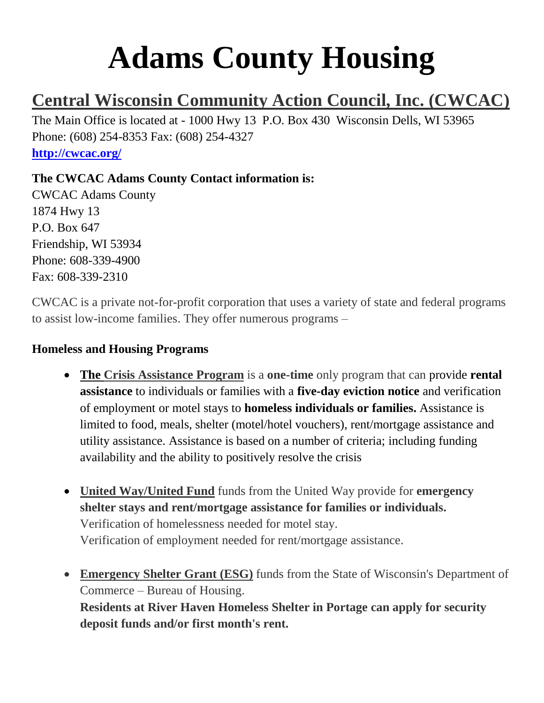# **Adams County Housing**

# **Central Wisconsin Community Action Council, Inc. (CWCAC)**

The Main Office is located at - 1000 Hwy 13 P.O. Box 430 Wisconsin Dells, WI 53965 Phone: (608) 254-8353 Fax: (608) 254-4327 **<http://cwcac.org/>**

### **The CWCAC Adams County Contact information is:**

CWCAC Adams County 1874 Hwy 13 P.O. Box 647 Friendship, WI 53934 Phone: 608-339-4900 Fax: 608-339-2310

CWCAC is a private not-for-profit corporation that uses a variety of state and federal programs to assist low-income families. They offer numerous programs –

#### **Homeless and Housing Programs**

- **The Crisis Assistance Program** is a **one-time** only program that can provide **rental assistance** to individuals or families with a **five-day eviction notice** and verification of employment or motel stays to **homeless individuals or families.** Assistance is limited to food, meals, shelter (motel/hotel vouchers), rent/mortgage assistance and utility assistance. Assistance is based on a number of criteria; including funding availability and the ability to positively resolve the crisis
- **United Way/United Fund** funds from the United Way provide for **emergency shelter stays and rent/mortgage assistance for families or individuals.** Verification of homelessness needed for motel stay. Verification of employment needed for rent/mortgage assistance.
- **Emergency Shelter Grant (ESG)** funds from the State of Wisconsin's Department of Commerce – Bureau of Housing. **Residents at River Haven Homeless Shelter in Portage can apply for security deposit funds and/or first month's rent.**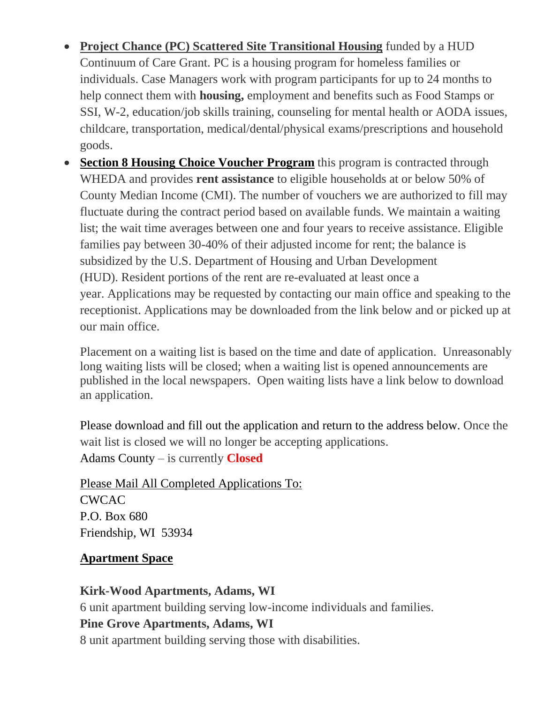- **Project Chance (PC) Scattered Site Transitional Housing** funded by a HUD Continuum of Care Grant. PC is a housing program for homeless families or individuals. Case Managers work with program participants for up to 24 months to help connect them with **housing,** employment and benefits such as Food Stamps or SSI, W-2, education/job skills training, counseling for mental health or AODA issues, childcare, transportation, medical/dental/physical exams/prescriptions and household goods.
- **Section 8 Housing Choice Voucher Program** this program is contracted through WHEDA and provides **rent assistance** to eligible households at or below 50% of County Median Income (CMI). The number of vouchers we are authorized to fill may fluctuate during the contract period based on available funds. We maintain a waiting list; the wait time averages between one and four years to receive assistance. Eligible families pay between 30-40% of their adjusted income for rent; the balance is subsidized by the U.S. Department of Housing and Urban Development (HUD). Resident portions of the rent are re-evaluated at least once a year. Applications may be requested by contacting our main office and speaking to the receptionist. Applications may be downloaded from the link below and or picked up at our main office.

Placement on a waiting list is based on the time and date of application. Unreasonably long waiting lists will be closed; when a waiting list is opened announcements are published in the local newspapers. Open waiting lists have a link below to download an application.

Please download and fill out the application and return to the address below. Once the wait list is closed we will no longer be accepting applications. Adams County – is currently **Closed**

Please Mail All Completed Applications To: CWCAC P.O. Box 680 Friendship, WI 53934

### **Apartment Space**

### **Kirk-Wood Apartments, Adams, WI**

6 unit apartment building serving low-income individuals and families.

### **Pine Grove Apartments, Adams, WI**

8 unit apartment building serving those with disabilities.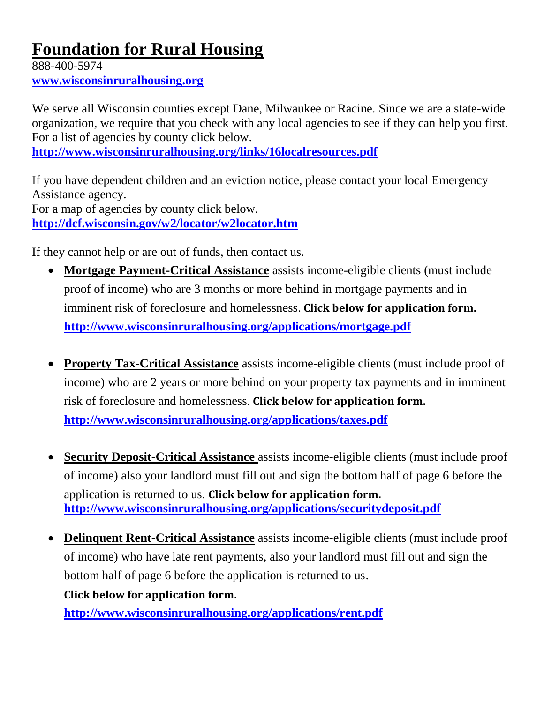# **Foundation for Rural Housing**

888-400-5974 **[www.wisconsinruralhousing.org](http://www.wisconsinruralhousing.org/)**

We serve all Wisconsin counties except Dane, Milwaukee or Racine. Since we are a state-wide organization, we require that you check with any local agencies to see if they can help you first. For a list of agencies by county click below.

**<http://www.wisconsinruralhousing.org/links/16localresources.pdf>**

If you have dependent children and an eviction notice, please contact your local Emergency Assistance agency. For a map of agencies by county click below. **<http://dcf.wisconsin.gov/w2/locator/w2locator.htm>**

If they cannot help or are out of funds, then contact us.

- **Mortgage Payment-Critical Assistance** assists income-eligible clients (must include proof of income) who are 3 months or more behind in mortgage payments and in imminent risk of foreclosure and homelessness. **Click below for application form. <http://www.wisconsinruralhousing.org/applications/mortgage.pdf>**
- **Property Tax-Critical Assistance** assists income-eligible clients (must include proof of income) who are 2 years or more behind on your property tax payments and in imminent risk of foreclosure and homelessness. **Click below for application form. <http://www.wisconsinruralhousing.org/applications/taxes.pdf>**
- **Security Deposit-Critical Assistance** assists income-eligible clients (must include proof of income) also your landlord must fill out and sign the bottom half of page 6 before the application is returned to us. **Click below for application form. <http://www.wisconsinruralhousing.org/applications/securitydeposit.pdf>**
- **Delinquent Rent-Critical Assistance** assists income-eligible clients (must include proof of income) who have late rent payments, also your landlord must fill out and sign the bottom half of page 6 before the application is returned to us. **Click below for application form.**

**<http://www.wisconsinruralhousing.org/applications/rent.pdf>**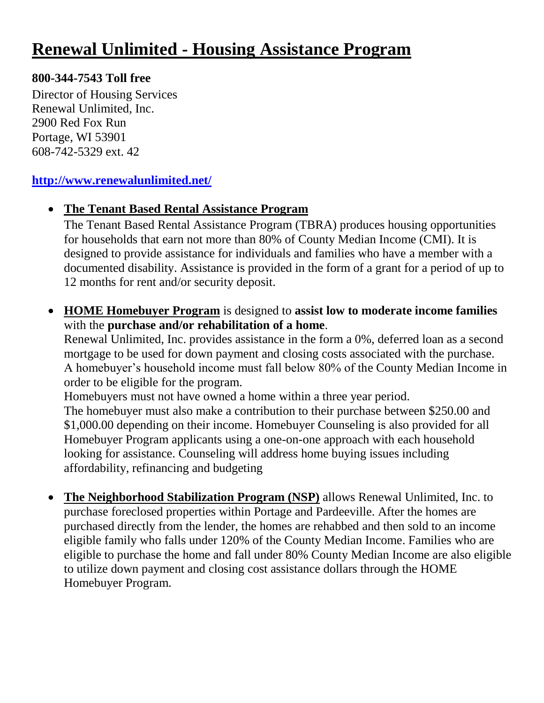## **Renewal Unlimited - Housing Assistance Program**

#### **800-344-7543 Toll free**

Director of Housing Services Renewal Unlimited, Inc. 2900 Red Fox Run Portage, WI 53901 608-742-5329 ext. 42

#### **<http://www.renewalunlimited.net/>**

#### **The Tenant Based Rental Assistance Program**

The Tenant Based Rental Assistance Program (TBRA) produces housing opportunities for households that earn not more than 80% of County Median Income (CMI). It is designed to provide assistance for individuals and families who have a member with a documented disability. Assistance is provided in the form of a grant for a period of up to 12 months for rent and/or security deposit.

 **HOME Homebuyer Program** is designed to **assist low to moderate income families** with the **purchase and/or rehabilitation of a home**.

Renewal Unlimited, Inc. provides assistance in the form a 0%, deferred loan as a second mortgage to be used for down payment and closing costs associated with the purchase. A homebuyer's household income must fall below 80% of the County Median Income in order to be eligible for the program.

Homebuyers must not have owned a home within a three year period. The homebuyer must also make a contribution to their purchase between \$250.00 and \$1,000.00 depending on their income. Homebuyer Counseling is also provided for all Homebuyer Program applicants using a one-on-one approach with each household looking for assistance. Counseling will address home buying issues including affordability, refinancing and budgeting

 **The Neighborhood Stabilization Program (NSP)** allows Renewal Unlimited, Inc. to purchase foreclosed properties within Portage and Pardeeville. After the homes are purchased directly from the lender, the homes are rehabbed and then sold to an income eligible family who falls under 120% of the County Median Income. Families who are eligible to purchase the home and fall under 80% County Median Income are also eligible to utilize down payment and closing cost assistance dollars through the HOME Homebuyer Program.